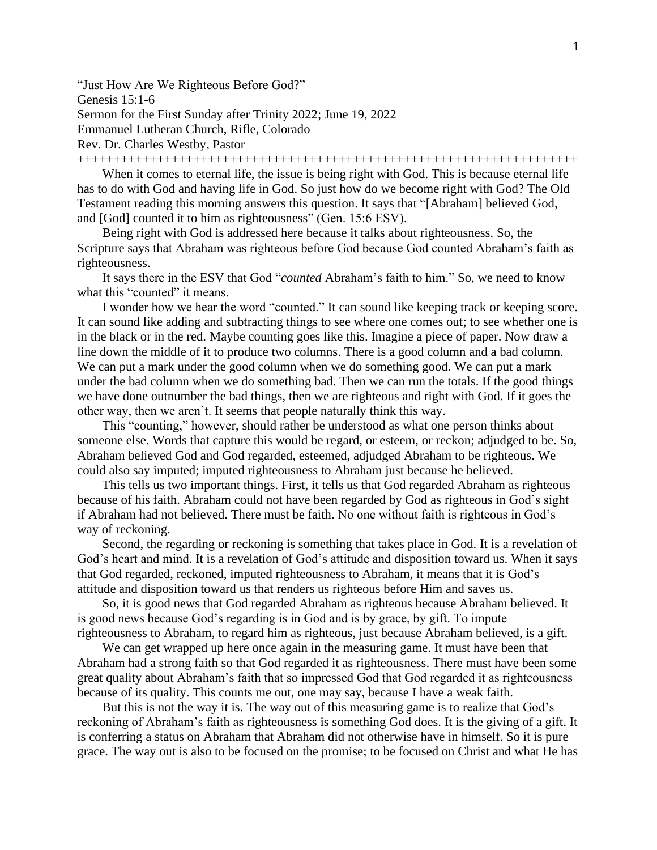"Just How Are We Righteous Before God?" Genesis 15:1-6 Sermon for the First Sunday after Trinity 2022; June 19, 2022 Emmanuel Lutheran Church, Rifle, Colorado Rev. Dr. Charles Westby, Pastor

+++++++++++++++++++++++++++++++++++++++++++++++++++++++++++++++++++++

When it comes to eternal life, the issue is being right with God. This is because eternal life has to do with God and having life in God. So just how do we become right with God? The Old Testament reading this morning answers this question. It says that "[Abraham] believed God, and [God] counted it to him as righteousness" (Gen. 15:6 ESV).

Being right with God is addressed here because it talks about righteousness. So, the Scripture says that Abraham was righteous before God because God counted Abraham's faith as righteousness.

It says there in the ESV that God "*counted* Abraham's faith to him." So, we need to know what this "counted" it means.

I wonder how we hear the word "counted." It can sound like keeping track or keeping score. It can sound like adding and subtracting things to see where one comes out; to see whether one is in the black or in the red. Maybe counting goes like this. Imagine a piece of paper. Now draw a line down the middle of it to produce two columns. There is a good column and a bad column. We can put a mark under the good column when we do something good. We can put a mark under the bad column when we do something bad. Then we can run the totals. If the good things we have done outnumber the bad things, then we are righteous and right with God. If it goes the other way, then we aren't. It seems that people naturally think this way.

This "counting," however, should rather be understood as what one person thinks about someone else. Words that capture this would be regard, or esteem, or reckon; adjudged to be. So, Abraham believed God and God regarded, esteemed, adjudged Abraham to be righteous. We could also say imputed; imputed righteousness to Abraham just because he believed.

This tells us two important things. First, it tells us that God regarded Abraham as righteous because of his faith. Abraham could not have been regarded by God as righteous in God's sight if Abraham had not believed. There must be faith. No one without faith is righteous in God's way of reckoning.

Second, the regarding or reckoning is something that takes place in God. It is a revelation of God's heart and mind. It is a revelation of God's attitude and disposition toward us. When it says that God regarded, reckoned, imputed righteousness to Abraham, it means that it is God's attitude and disposition toward us that renders us righteous before Him and saves us.

So, it is good news that God regarded Abraham as righteous because Abraham believed. It is good news because God's regarding is in God and is by grace, by gift. To impute righteousness to Abraham, to regard him as righteous, just because Abraham believed, is a gift.

We can get wrapped up here once again in the measuring game. It must have been that Abraham had a strong faith so that God regarded it as righteousness. There must have been some great quality about Abraham's faith that so impressed God that God regarded it as righteousness because of its quality. This counts me out, one may say, because I have a weak faith.

But this is not the way it is. The way out of this measuring game is to realize that God's reckoning of Abraham's faith as righteousness is something God does. It is the giving of a gift. It is conferring a status on Abraham that Abraham did not otherwise have in himself. So it is pure grace. The way out is also to be focused on the promise; to be focused on Christ and what He has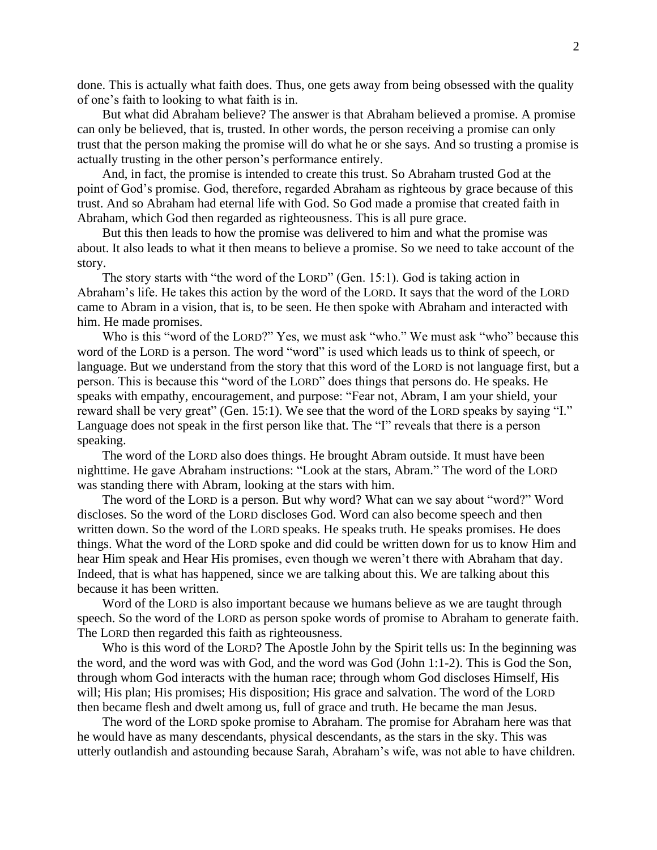done. This is actually what faith does. Thus, one gets away from being obsessed with the quality of one's faith to looking to what faith is in.

But what did Abraham believe? The answer is that Abraham believed a promise. A promise can only be believed, that is, trusted. In other words, the person receiving a promise can only trust that the person making the promise will do what he or she says. And so trusting a promise is actually trusting in the other person's performance entirely.

And, in fact, the promise is intended to create this trust. So Abraham trusted God at the point of God's promise. God, therefore, regarded Abraham as righteous by grace because of this trust. And so Abraham had eternal life with God. So God made a promise that created faith in Abraham, which God then regarded as righteousness. This is all pure grace.

But this then leads to how the promise was delivered to him and what the promise was about. It also leads to what it then means to believe a promise. So we need to take account of the story.

The story starts with "the word of the LORD" (Gen. 15:1). God is taking action in Abraham's life. He takes this action by the word of the LORD. It says that the word of the LORD came to Abram in a vision, that is, to be seen. He then spoke with Abraham and interacted with him. He made promises.

Who is this "word of the LORD?" Yes, we must ask "who." We must ask "who" because this word of the LORD is a person. The word "word" is used which leads us to think of speech, or language. But we understand from the story that this word of the LORD is not language first, but a person. This is because this "word of the LORD" does things that persons do. He speaks. He speaks with empathy, encouragement, and purpose: "Fear not, Abram, I am your shield, your reward shall be very great" (Gen. 15:1). We see that the word of the LORD speaks by saying "I." Language does not speak in the first person like that. The "I" reveals that there is a person speaking.

The word of the LORD also does things. He brought Abram outside. It must have been nighttime. He gave Abraham instructions: "Look at the stars, Abram." The word of the LORD was standing there with Abram, looking at the stars with him.

The word of the LORD is a person. But why word? What can we say about "word?" Word discloses. So the word of the LORD discloses God. Word can also become speech and then written down. So the word of the LORD speaks. He speaks truth. He speaks promises. He does things. What the word of the LORD spoke and did could be written down for us to know Him and hear Him speak and Hear His promises, even though we weren't there with Abraham that day. Indeed, that is what has happened, since we are talking about this. We are talking about this because it has been written.

Word of the LORD is also important because we humans believe as we are taught through speech. So the word of the LORD as person spoke words of promise to Abraham to generate faith. The LORD then regarded this faith as righteousness.

Who is this word of the LORD? The Apostle John by the Spirit tells us: In the beginning was the word, and the word was with God, and the word was God (John 1:1-2). This is God the Son, through whom God interacts with the human race; through whom God discloses Himself, His will; His plan; His promises; His disposition; His grace and salvation. The word of the LORD then became flesh and dwelt among us, full of grace and truth. He became the man Jesus.

The word of the LORD spoke promise to Abraham. The promise for Abraham here was that he would have as many descendants, physical descendants, as the stars in the sky. This was utterly outlandish and astounding because Sarah, Abraham's wife, was not able to have children.